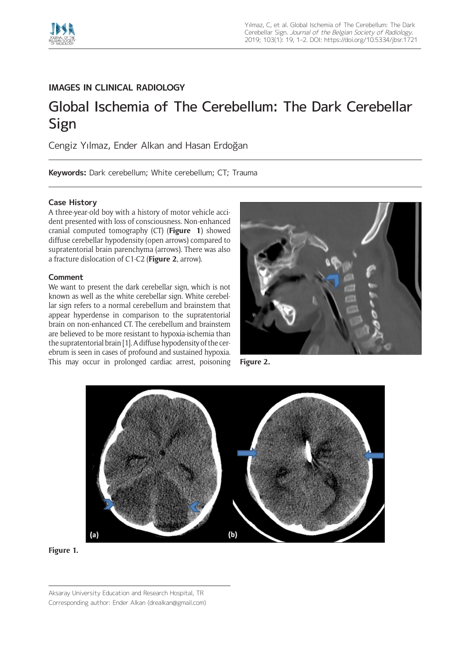

## **IMAGES IN CLINICAL RADIOLOGY**

# Global Ischemia of The Cerebellum: The Dark Cerebellar Sign

Cengiz Yılmaz, Ender Alkan and Hasan Erdoğan

**Keywords:** Dark cerebellum; White cerebellum; CT; Trauma

### **Case History**

A three-year-old boy with a history of motor vehicle accident presented with loss of consciousness. Non-enhanced cranial computed tomography (CT) (**Figure 1**) showed diffuse cerebellar hypodensity (open arrows) compared to supratentorial brain parenchyma (arrows). There was also a fracture dislocation of C1-C2 (**Figure 2**, arrow).

#### **Comment**

We want to present the dark cerebellar sign, which is not known as well as the white cerebellar sign. White cerebellar sign refers to a normal cerebellum and brainstem that appear hyperdense in comparison to the supratentorial brain on non-enhanced CT. The cerebellum and brainstem are believed to be more resistant to hypoxia-ischemia than the supratentorial brain [1]. A diffuse hypodensity of the cerebrum is seen in cases of profound and sustained hypoxia. This may occur in prolonged cardiac arrest, poisoning **Figure 2.**







Aksaray University Education and Research Hospital, TR Corresponding author: Ender Alkan [\(drealkan@gmail.com\)](mailto:drealkan@gmail.com)